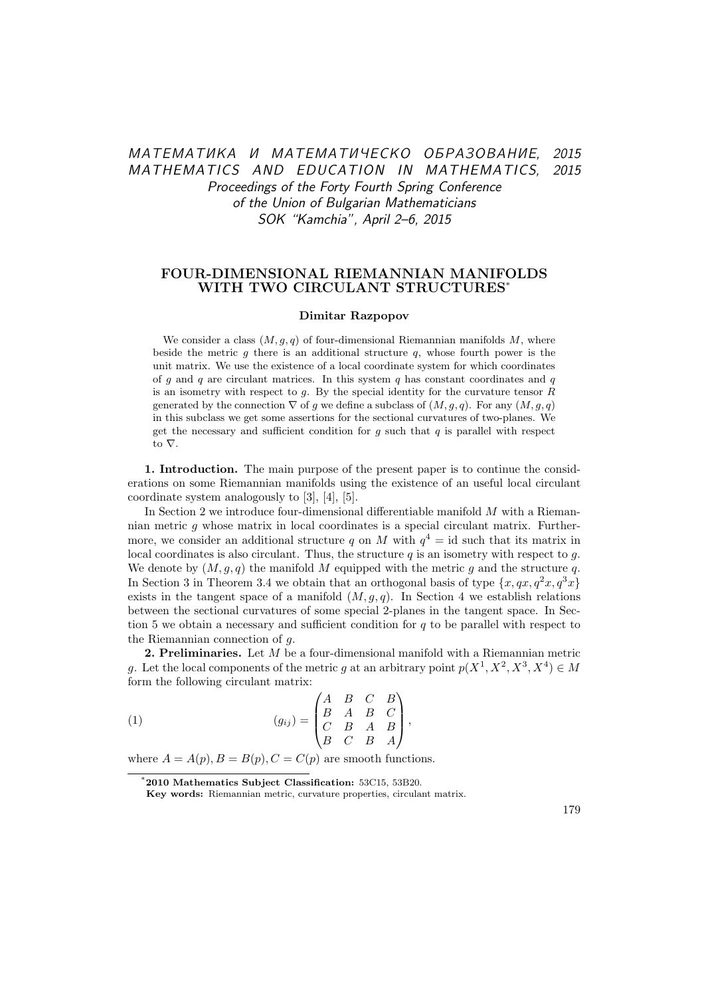# МАТЕМАТИКА И МАТЕМАТИЧЕСКО ОБРАЗОВАНИЕ, 2015 MATHEMATICS AND EDUCATION IN MATHEMATICS, 2015 Proceedings of the Forty Fourth Spring Conference of the Union of Bulgarian Mathematicians SOK "Kamchia", April 2–6, 2015

## FOUR-DIMENSIONAL RIEMANNIAN MANIFOLDS WITH TWO CIRCULANT STRUCTURES\*

#### Dimitar Razpopov

We consider a class  $(M, g, q)$  of four-dimensional Riemannian manifolds M, where beside the metric  $g$  there is an additional structure  $q$ , whose fourth power is the unit matrix. We use the existence of a local coordinate system for which coordinates of q and q are circulant matrices. In this system q has constant coordinates and q is an isometry with respect to  $g$ . By the special identity for the curvature tensor  $R$ generated by the connection  $\nabla$  of g we define a subclass of  $(M, g, q)$ . For any  $(M, g, q)$ in this subclass we get some assertions for the sectional curvatures of two-planes. We get the necessary and sufficient condition for  $g$  such that  $q$  is parallel with respect to ∇.

1. Introduction. The main purpose of the present paper is to continue the considerations on some Riemannian manifolds using the existence of an useful local circulant coordinate system analogously to [3], [4], [5].

In Section 2 we introduce four-dimensional differentiable manifold  $M$  with a Riemannian metric g whose matrix in local coordinates is a special circulant matrix. Furthermore, we consider an additional structure q on M with  $q^4 = id$  such that its matrix in local coordinates is also circulant. Thus, the structure  $q$  is an isometry with respect to  $q$ . We denote by  $(M, q, q)$  the manifold M equipped with the metric q and the structure q. In Section 3 in Theorem 3.4 we obtain that an orthogonal basis of type  $\{x, qx, q^2x, q^3x\}$ exists in the tangent space of a manifold  $(M, g, q)$ . In Section 4 we establish relations between the sectional curvatures of some special 2-planes in the tangent space. In Section 5 we obtain a necessary and sufficient condition for  $q$  to be parallel with respect to the Riemannian connection of g.

2. Preliminaries. Let M be a four-dimensional manifold with a Riemannian metric g. Let the local components of the metric g at an arbitrary point  $p(X^1, X^2, X^3, X^4) \in M$ form the following circulant matrix:

(1) 
$$
(g_{ij}) = \begin{pmatrix} A & B & C & B \\ B & A & B & C \\ C & B & A & B \\ B & C & B & A \end{pmatrix},
$$

where  $A = A(p), B = B(p), C = C(p)$  are smooth functions.

<sup>\*</sup>2010 Mathematics Subject Classification: 53C15, 53B20.

Key words: Riemannian metric, curvature properties, circulant matrix.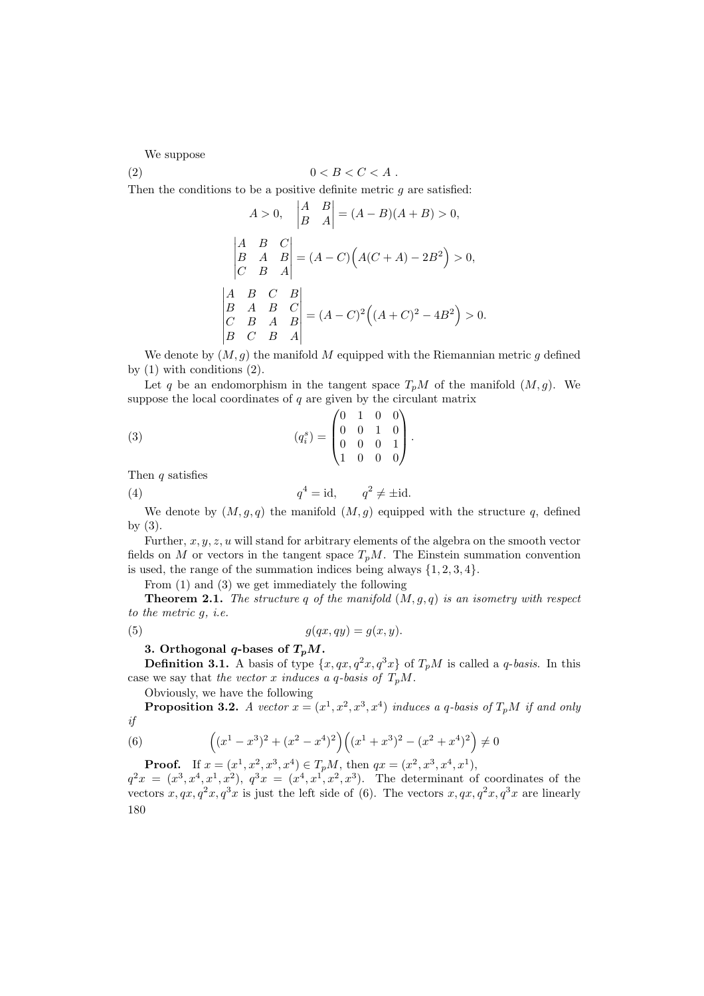We suppose

$$
(2) \t\t 0 < B < C < A .
$$

Then the conditions to be a positive definite metric  $q$  are satisfied:

$$
A > 0, \quad \begin{vmatrix} A & B \\ B & A \end{vmatrix} = (A - B)(A + B) > 0,
$$
  
\n
$$
\begin{vmatrix} A & B & C \\ B & A & B \\ C & B & A \end{vmatrix} = (A - C) (A(C + A) - 2B^2) > 0,
$$
  
\n
$$
\begin{vmatrix} A & B & C & B \\ B & A & B & C \\ C & B & A & B \\ B & C & B & A \end{vmatrix} = (A - C)^2 ((A + C)^2 - 4B^2) > 0.
$$

We denote by  $(M, g)$  the manifold M equipped with the Riemannian metric g defined by  $(1)$  with conditions  $(2)$ .

Let q be an endomorphism in the tangent space  $T_pM$  of the manifold  $(M, g)$ . We suppose the local coordinates of  $q$  are given by the circulant matrix

(3) 
$$
(q_i^s) = \begin{pmatrix} 0 & 1 & 0 & 0 \\ 0 & 0 & 1 & 0 \\ 0 & 0 & 0 & 1 \\ 1 & 0 & 0 & 0 \end{pmatrix}.
$$

Then  $q$  satisfies

(4) 
$$
q^4 = \text{id}, \qquad q^2 \neq \pm \text{id}.
$$

We denote by  $(M, g, q)$  the manifold  $(M, g)$  equipped with the structure q, defined by (3).

Further,  $x, y, z, u$  will stand for arbitrary elements of the algebra on the smooth vector fields on M or vectors in the tangent space  $T_pM$ . The Einstein summation convention is used, the range of the summation indices being always  $\{1, 2, 3, 4\}.$ 

From (1) and (3) we get immediately the following

**Theorem 2.1.** The structure q of the manifold  $(M, g, q)$  is an isometry with respect to the metric g, i.e.

$$
(5) \t\t g(qx, qy) = g(x, y).
$$

#### 3. Orthogonal q-bases of  $T_pM$ .

**Definition 3.1.** A basis of type  $\{x, qx, q^2x, q^3x\}$  of  $T_pM$  is called a *q-basis*. In this case we say that the vector x induces a q-basis of  $T_pM$ .

Obviously, we have the following

**Proposition 3.2.** A vector  $x = (x^1, x^2, x^3, x^4)$  induces a q-basis of  $T_pM$  if and only if

$$
\left( 6\right)
$$

 $(x^{1}-x^{3})^{2}+(x^{2}-x^{4})^{2}\Big)\Big((x^{1}+x^{3})^{2}-(x^{2}+x^{4})^{2}\Big)\neq 0$ **Proof.** If  $x = (x^1, x^2, x^3, x^4) \in T_pM$ , then  $qx = (x^2, x^3, x^4, x^1)$ ,

 $q^2x = (x^3, x^4, x^1, x^2), q^3x = (x^4, x^1, x^2, x^3)$ . The determinant of coordinates of the vectors  $x, qx, q^2x, q^3x$  is just the left side of (6). The vectors  $x, qx, q^2x, q^3x$  are linearly 180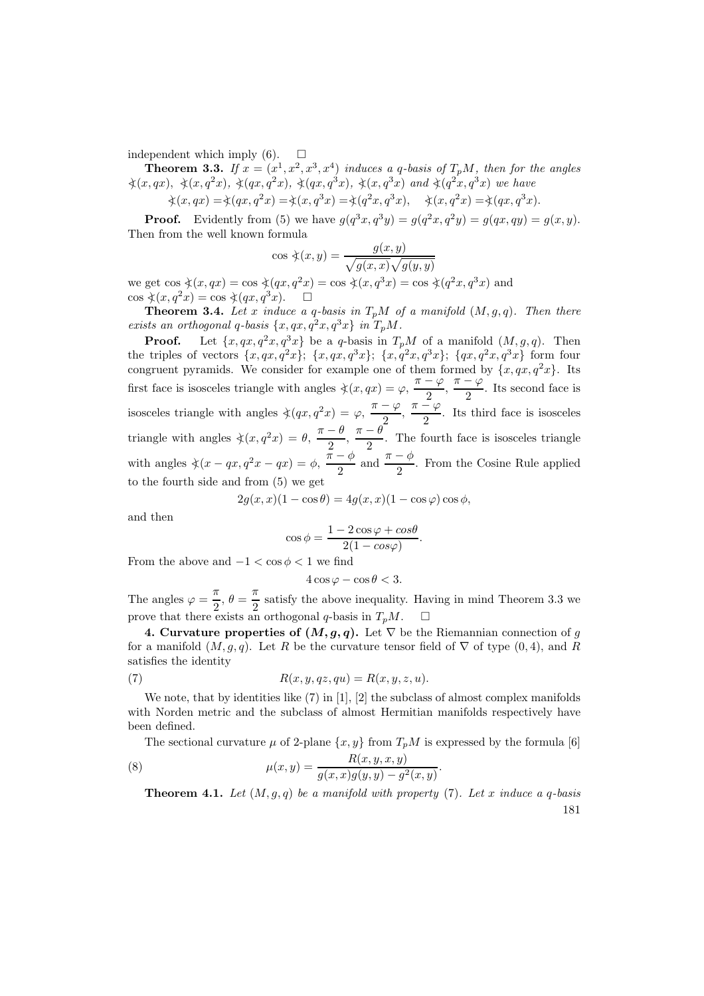independent which imply  $(6)$ .  $\square$ 

**Theorem 3.3.** If  $x = (x^1, x^2, x^3, x^4)$  induces a q-basis of  $T_pM$ , then for the angles  $\frac{\lambda(x, qx)}{\lambda(x, qx)}, \frac{\lambda(x, q^2x)}{\lambda(qx, q^2x)}, \frac{\lambda(qx, q^3x)}{\lambda(x, q^3x)}$  and  $\frac{\lambda(q^2x, q^3x)}{\lambda(q^2x, q^3x)}$  we have

$$
\textstyle \dot{\curlywedge}(x,qx)=\dot{\curlywedge}(qx,q^2x)=\dot{\curlywedge}(x,q^3x)=\dot{\curlywedge}(q^2x,q^3x),\quad \dot{\curlywedge}(x,q^2x)=\dot{\curlywedge}(qx,q^3x).
$$

**Proof.** Evidently from (5) we have  $g(q^3x, q^3y) = g(q^2x, q^2y) = g(qx, qy) = g(x, y)$ . Then from the well known formula

$$
\cos \xi(x, y) = \frac{g(x, y)}{\sqrt{g(x, x)}\sqrt{g(y, y)}}
$$

we get  $\cos \xi(x, qx) = \cos \xi(qx, q^2x) = \cos \xi(x, q^3x) = \cos \xi(q^2x, q^3x)$  and  $\cos \xi(x, q^2x) = \cos \xi(qx, q^3x).$ 

**Theorem 3.4.** Let x induce a q-basis in  $T_pM$  of a manifold  $(M, g, q)$ . Then there exists an orthogonal q-basis  $\{x, qx, q^2x, q^3x\}$  in  $T_pM$ .

**Proof.** Let  $\{x, qx, q^2x, q^3x\}$  be a q-basis in  $T_pM$  of a manifold  $(M, g, q)$ . Then the triples of vectors  $\{x, qx, q^2x\}$ ;  $\{x, qx, q^3x\}$ ;  $\{x, q^2x, q^3x\}$ ;  $\{qx, q^2x, q^3x\}$  form four congruent pyramids. We consider for example one of them formed by  $\{x, qx, q^2x\}$ . Its first face is isosceles triangle with angles  $\angle(x, qx) = \varphi, \frac{\pi - \varphi}{\alpha}$  $\frac{-\varphi}{2}, \frac{\pi-\varphi}{2}$  $\frac{1}{2}$ . Its second face is isosceles triangle with angles  $\zeta(qx, q^2x) = \varphi, \frac{\pi - \varphi}{\alpha}$  $\frac{-\varphi}{2}, \frac{\pi-\varphi}{2}$  $\frac{r}{2}$ . Its third face is isosceles triangle with angles  $\zeta(x,q^2x) = \theta$ ,  $\frac{\pi-\theta}{2}$  $\frac{-\theta}{2}, \frac{\pi-\theta}{2}$  $\frac{1}{2}$ . The fourth face is isosceles triangle with angles  $\angle(x-qx, q^2x-qx) = \phi$ ,  $\frac{\pi-\phi}{2}$  $\frac{-\phi}{2}$  and  $\frac{\pi-\phi}{2}$ . From the Cosine Rule applied to the fourth side and from (5) we get

$$
2g(x, x)(1 - \cos \theta) = 4g(x, x)(1 - \cos \varphi)\cos \phi,
$$

and then

$$
\cos \phi = \frac{1 - 2\cos\varphi + \cos\theta}{2(1 - \cos\varphi)}.
$$

From the above and  $-1 < \cos \phi < 1$  we find

$$
4\cos\varphi - \cos\theta < 3.
$$

The angles  $\varphi = \frac{\pi}{2}$  $\frac{\pi}{2}, \theta = \frac{\pi}{2}$  $\frac{\pi}{2}$  satisfy the above inequality. Having in mind Theorem 3.3 we prove that there exists an orthogonal q-basis in  $T_nM$ .

4. Curvature properties of  $(M, g, q)$ . Let  $\nabla$  be the Riemannian connection of g for a manifold  $(M, g, q)$ . Let R be the curvature tensor field of  $\nabla$  of type  $(0, 4)$ , and R satisfies the identity

(7) 
$$
R(x, y, qz, qu) = R(x, y, z, u).
$$

We note, that by identities like  $(7)$  in [1], [2] the subclass of almost complex manifolds with Norden metric and the subclass of almost Hermitian manifolds respectively have been defined.

The sectional curvature  $\mu$  of 2-plane  $\{x, y\}$  from  $T_pM$  is expressed by the formula [6]

(8) 
$$
\mu(x,y) = \frac{R(x,y,x,y)}{g(x,x)g(y,y) - g^2(x,y)}.
$$

**Theorem 4.1.** Let  $(M, g, q)$  be a manifold with property (7). Let x induce a q-basis 181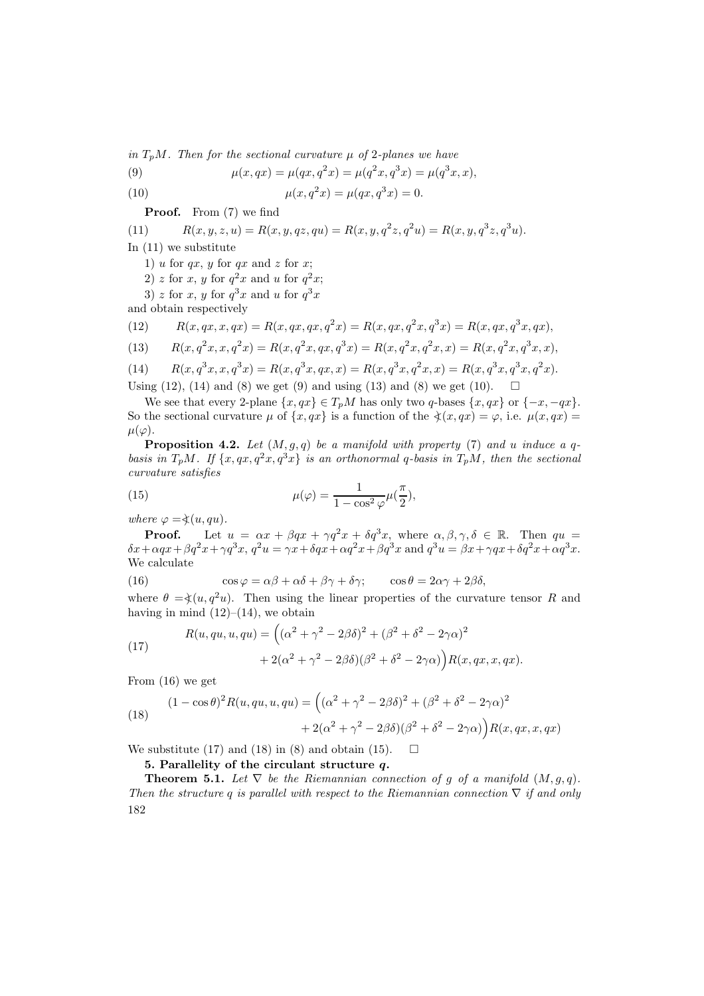in  $T_nM$ . Then for the sectional curvature  $\mu$  of 2-planes we have

(9) 
$$
\mu(x, qx) = \mu(qx, q^2x) = \mu(q^2x, q^3x) = \mu(q^3x, x),
$$

(10) 
$$
\mu(x, q^2x) = \mu(qx, q^3x) = 0.
$$

Proof. From (7) we find

(11) 
$$
R(x, y, z, u) = R(x, y, qz, qu) = R(x, y, q^{2}z, q^{2}u) = R(x, y, q^{3}z, q^{3}u).
$$

In (11) we substitute

- 1) u for  $qx, y$  for  $qx$  and z for x;
- 2) z for x, y for  $q^2x$  and u for  $q^2x$ ;
- 3) z for x, y for  $q^3x$  and u for  $q^3x$

and obtain respectively

(12) 
$$
R(x, qx, x, qx) = R(x, qx, qx, q2x) = R(x, qx, q2x, q3x) = R(x, qx, q3x, qx),
$$

(13) 
$$
R(x, q^{2}x, x, q^{2}x) = R(x, q^{2}x, qx, q^{3}x) = R(x, q^{2}x, q^{2}x, x) = R(x, q^{2}x, q^{3}x, x),
$$

(14) 
$$
R(x, q^{3}x, x, q^{3}x) = R(x, q^{3}x, qx, x) = R(x, q^{3}x, q^{2}x, x) = R(x, q^{3}x, q^{3}x, q^{2}x).
$$

Using (12), (14) and (8) we get (9) and using (13) and (8) we get (10).  $\Box$ 

We see that every 2-plane  $\{x, qx\} \in T_pM$  has only two q-bases  $\{x, qx\}$  or  $\{-x, -qx\}$ . So the sectional curvature  $\mu$  of  $\{x, qx\}$  is a function of the  $\frac{\lambda}{x}(x, qx) = \varphi$ , i.e.  $\mu(x, qx) =$  $\mu(\varphi)$ .

**Proposition 4.2.** Let  $(M, g, q)$  be a manifold with property (7) and u induce a qbasis in  $T_pM$ . If  $\{x,qx,q^2x,q^3x\}$  is an orthonormal q-basis in  $T_pM$ , then the sectional curvature satisfies

(15) 
$$
\mu(\varphi) = \frac{1}{1 - \cos^2 \varphi} \mu(\frac{\pi}{2}),
$$

where  $\varphi = \dot{\chi}(u, qu)$ .

**Proof.** Let  $u = \alpha x + \beta qx + \gamma q^2 x + \delta q^3 x$ , where  $\alpha, \beta, \gamma, \delta \in \mathbb{R}$ . Then  $qu =$  $\delta x + \alpha qx + \beta q^2x + \gamma q^3x$ ,  $q^2u = \gamma x + \delta qx + \alpha q^2x + \beta q^3x$  and  $q^3u = \beta x + \gamma qx + \delta q^2x + \alpha q^3x$ . We calculate

(16) 
$$
\cos \varphi = \alpha \beta + \alpha \delta + \beta \gamma + \delta \gamma; \qquad \cos \theta = 2\alpha \gamma + 2\beta \delta,
$$

where  $\theta = \frac{\lambda}{u}, q^2u$ . Then using the linear properties of the curvature tensor R and having in mind  $(12)–(14)$ , we obtain

(17) 
$$
R(u, qu, u, qu) = \left( (\alpha^2 + \gamma^2 - 2\beta\delta)^2 + (\beta^2 + \delta^2 - 2\gamma\alpha)^2 + 2(\alpha^2 + \gamma^2 - 2\beta\delta)(\beta^2 + \delta^2 - 2\gamma\alpha) \right) R(x, qx, x, qx).
$$

From (16) we get

(18) 
$$
(1 - \cos \theta)^2 R(u, qu, u, qu) = ((\alpha^2 + \gamma^2 - 2\beta \delta)^2 + (\beta^2 + \delta^2 - 2\gamma \alpha)^2 + 2(\alpha^2 + \gamma^2 - 2\beta \delta)(\beta^2 + \delta^2 - 2\gamma \alpha) R(x, qx, x, qx)
$$

We substitute (17) and (18) in (8) and obtain (15).  $\Box$ 

## 5. Parallelity of the circulant structure q.

**Theorem 5.1.** Let  $\nabla$  be the Riemannian connection of g of a manifold  $(M, g, q)$ . Then the structure q is parallel with respect to the Riemannian connection  $\nabla$  if and only 182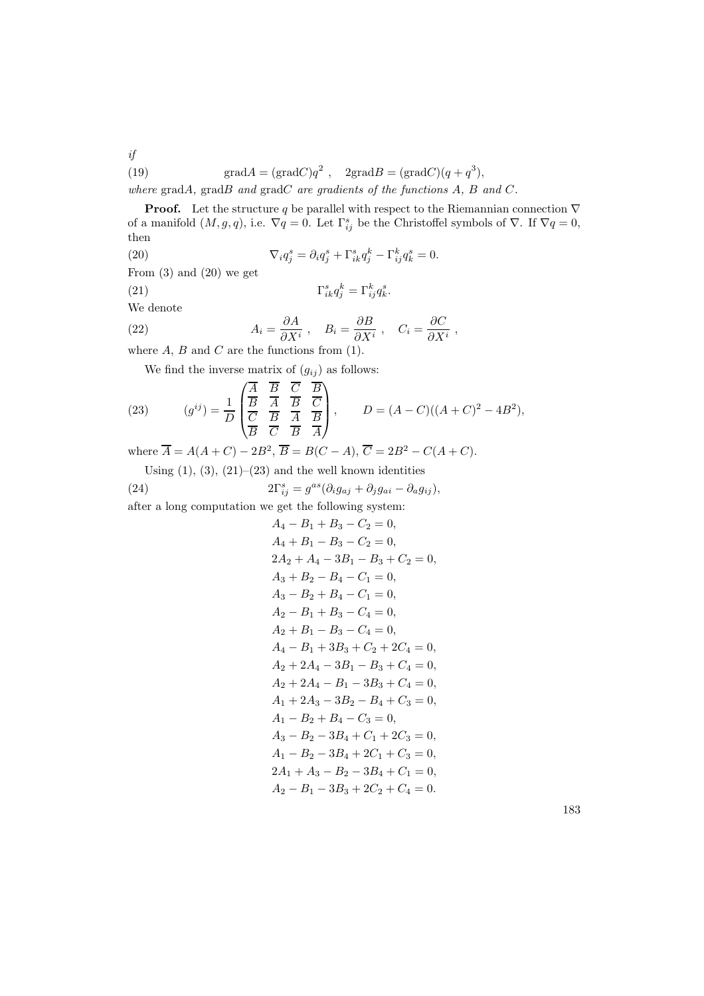(19)  $\text{grad}A = (\text{grad}C)q^2$ ,  $2\text{grad}B = (\text{grad}C)(q+q^3)$ ,

where  $gradA$ ,  $gradB$  and  $gradC$  are gradients of the functions  $A$ ,  $B$  and  $C$ .

**Proof.** Let the structure q be parallel with respect to the Riemannian connection  $\nabla$ of a manifold  $(M, g, q)$ , i.e.  $\nabla q = 0$ . Let  $\Gamma_{ij}^s$  be the Christoffel symbols of  $\nabla$ . If  $\nabla q = 0$ , then

 $s_{ik}^s q_j^k = \Gamma_{ij}^k q_k^s.$ 

(20)  $\nabla_i q_j^s = \partial_i q_j^s + \Gamma_{ik}^s q_j^k - \Gamma_{ij}^k q_k^s = 0.$ 

From  $(3)$  and  $(20)$  we get

 $(21)$ 

if

We denote

(22) 
$$
A_i = \frac{\partial A}{\partial X^i}, \quad B_i = \frac{\partial B}{\partial X^i}, \quad C_i = \frac{\partial C}{\partial X^i},
$$

where  $A, B$  and  $C$  are the functions from  $(1)$ .

We find the inverse matrix of  $(g_{ij})$  as follows:

(23) 
$$
(g^{ij}) = \frac{1}{D} \begin{pmatrix} \overline{A} & \overline{B} & \overline{C} & \overline{B} \\ \overline{B} & \overline{A} & \overline{B} & \overline{C} \\ \overline{C} & \overline{B} & \overline{A} & \overline{B} \\ \overline{B} & \overline{C} & \overline{B} & \overline{A} \end{pmatrix}, \qquad D = (A - C)((A + C)^2 - 4B^2),
$$

where  $\overline{A} = A(A+C) - 2B^2$ ,  $\overline{B} = B(C-A)$ ,  $\overline{C} = 2B^2 - C(A+C)$ .

Using  $(1)$ ,  $(3)$ ,  $(21)$ – $(23)$  and the well known identities

(24) 
$$
2\Gamma_{ij}^s = g^{as}(\partial_i g_{aj} + \partial_j g_{ai} - \partial_a g_{ij}),
$$

after a long computation we get the following system:

$$
A_4 - B_1 + B_3 - C_2 = 0,
$$
  
\n
$$
A_4 + B_1 - B_3 - C_2 = 0,
$$
  
\n
$$
2A_2 + A_4 - 3B_1 - B_3 + C_2 = 0,
$$
  
\n
$$
A_3 + B_2 - B_4 - C_1 = 0,
$$
  
\n
$$
A_3 - B_2 + B_4 - C_1 = 0,
$$
  
\n
$$
A_2 - B_1 + B_3 - C_4 = 0,
$$
  
\n
$$
A_2 + B_1 - B_3 - C_4 = 0,
$$
  
\n
$$
A_4 - B_1 + 3B_3 + C_2 + 2C_4 = 0,
$$
  
\n
$$
A_2 + 2A_4 - 3B_1 - B_3 + C_4 = 0,
$$
  
\n
$$
A_2 + 2A_4 - B_1 - 3B_3 + C_4 = 0,
$$
  
\n
$$
A_1 + 2A_3 - 3B_2 - B_4 + C_3 = 0,
$$
  
\n
$$
A_1 - B_2 + B_4 - C_3 = 0,
$$
  
\n
$$
A_1 - B_2 - 3B_4 + C_1 + 2C_3 = 0,
$$
  
\n
$$
A_1 - B_2 - 3B_4 + C_1 + C_3 = 0,
$$
  
\n
$$
A_1 - B_2 - 3B_4 + C_1 = 0,
$$
  
\n
$$
A_2 - B_1 - 3B_3 + 2C_2 + C_4 = 0.
$$

183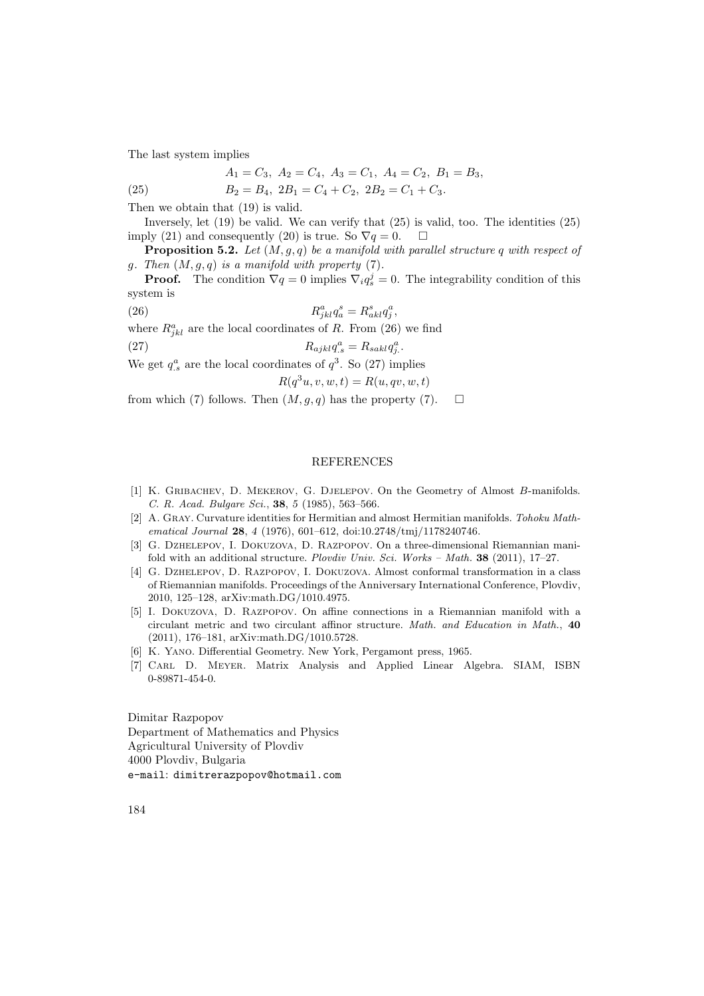The last system implies

$$
A_1 = C_3
$$
,  $A_2 = C_4$ ,  $A_3 = C_1$ ,  $A_4 = C_2$ ,  $B_1 = B_3$ ,

(25)  $B_2 = B_4$ ,  $2B_1 = C_4 + C_2$ ,  $2B_2 = C_1 + C_3$ .

Then we obtain that (19) is valid.

Inversely, let (19) be valid. We can verify that (25) is valid, too. The identities (25) imply (21) and consequently (20) is true. So  $\nabla q = 0$ .  $\Box$ 

**Proposition 5.2.** Let  $(M, g, q)$  be a manifold with parallel structure q with respect of g. Then  $(M, g, q)$  is a manifold with property  $(7)$ .

**Proof.** The condition  $\nabla q = 0$  implies  $\nabla_i q_s^j = 0$ . The integrability condition of this system is

 $(26)$  R  $a_{jkl}^a q_a^s = R_{akl}^s q_j^a,$ where  $R_{jkl}^a$  are the local coordinates of R. From (26) we find (27)  $R_{ajkl}q_s^a = R_{sak}q_j^a.$ We get  $q_s^a$  are the local coordinates of  $q^3$ . So (27) implies

$$
R(q^3u, v, w, t) = R(u, qv, w, t)
$$

from which (7) follows. Then  $(M, g, q)$  has the property (7).  $\Box$ 

### **REFERENCES**

- [1] K. Gribachev, D. Mekerov, G. Djelepov. On the Geometry of Almost B-manifolds. C. R. Acad. Bulgare Sci., 38, 5 (1985), 563–566.
- [2] A. Gray. Curvature identities for Hermitian and almost Hermitian manifolds. Tohoku Mathematical Journal 28, 4 (1976), 601–612, doi:10.2748/tmj/1178240746.
- [3] G. Dzhelepov, I. Dokuzova, D. Razpopov. On a three-dimensional Riemannian manifold with an additional structure. Plovdiv Univ. Sci. Works – Math. 38 (2011), 17–27.
- [4] G. Dzhelepov, D. Razpopov, I. Dokuzova. Almost conformal transformation in a class of Riemannian manifolds. Proceedings of the Anniversary International Conference, Plovdiv, 2010, 125–128, arXiv:math.DG/1010.4975.
- [5] I. Dokuzova, D. Razpopov. On affine connections in a Riemannian manifold with a circulant metric and two circulant affinor structure. Math. and Education in Math., 40 (2011), 176–181, arXiv:math.DG/1010.5728.
- [6] K. Yano. Differential Geometry. New York, Pergamont press, 1965.
- [7] Carl D. Meyer. Matrix Analysis and Applied Linear Algebra. SIAM, ISBN 0-89871-454-0.

Dimitar Razpopov Department of Mathematics and Physics Agricultural University of Plovdiv 4000 Plovdiv, Bulgaria e-mail: dimitrerazpopov@hotmail.com

184